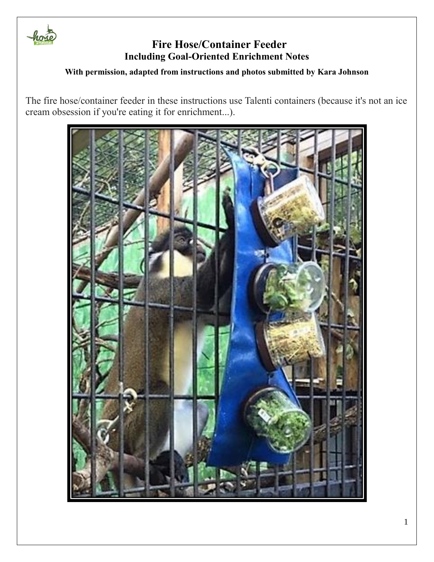

### **With permission, adapted from instructions and photos submitted by Kara Johnson**

The fire hose/container feeder in these instructions use Talenti containers (because it's not an ice cream obsession if you're eating it for enrichment...).

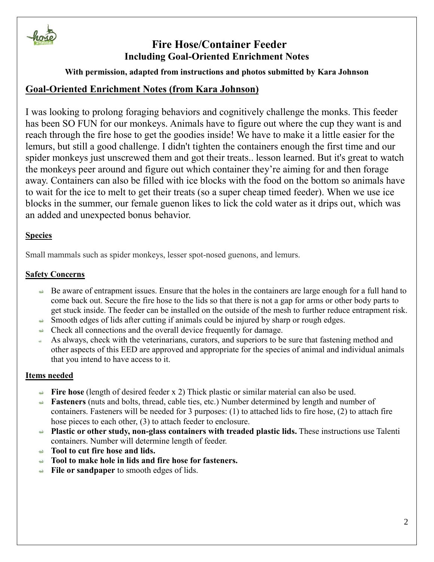

## **With permission, adapted from instructions and photos submitted by Kara Johnson**

## **Goal-Oriented Enrichment Notes (from Kara Johnson)**

I was looking to prolong foraging behaviors and cognitively challenge the monks. This feeder has been SO FUN for our monkeys. Animals have to figure out where the cup they want is and reach through the fire hose to get the goodies inside! We have to make it a little easier for the lemurs, but still a good challenge. I didn't tighten the containers enough the first time and our spider monkeys just unscrewed them and got their treats.. lesson learned. But it's great to watch the monkeys peer around and figure out which container they're aiming for and then forage away. Containers can also be filled with ice blocks with the food on the bottom so animals have to wait for the ice to melt to get their treats (so a super cheap timed feeder). When we use ice blocks in the summer, our female guenon likes to lick the cold water as it drips out, which was an added and unexpected bonus behavior.

### **Species**

Small mammals such as spider monkeys, lesser spot-nosed guenons, and lemurs.

### **Safety Concerns**

- $\rightarrow$  Be aware of entrapment issues. Ensure that the holes in the containers are large enough for a full hand to come back out. Secure the fire hose to the lids so that there is not a gap for arms or other body parts to get stuck inside. The feeder can be installed on the outside of the mesh to further reduce entrapment risk.
- Smooth edges of lids after cutting if animals could be injured by sharp or rough edges.
- $\triangle$  Check all connections and the overall device frequently for damage.
- As always, check with the veterinarians, curators, and superiors to be sure that fastening method and other aspects of this EED are approved and appropriate for the species of animal and individual animals that you intend to have access to it.

### **Items needed**

- **Fire hose** (length of desired feeder x 2) Thick plastic or similar material can also be used.
- **Fasteners** (nuts and bolts, thread, cable ties, etc.) Number determined by length and number of containers. Fasteners will be needed for 3 purposes: (1) to attached lids to fire hose, (2) to attach fire hose pieces to each other, (3) to attach feeder to enclosure.
- **Plastic or other study, non-glass containers with treaded plastic lids.** These instructions use Talenti containers. Number will determine length of feeder.
- **Tool to cut fire hose and lids.**
- **Tool to make hole in lids and fire hose for fasteners.**
- **File or sandpaper** to smooth edges of lids.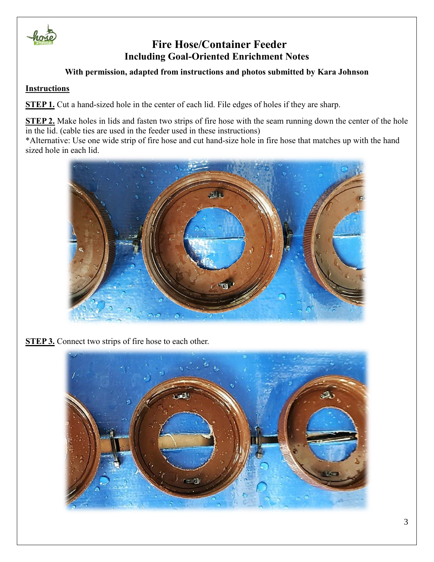

**With permission, adapted from instructions and photos submitted by Kara Johnson**

#### **Instructions**

**STEP 1.** Cut a hand-sized hole in the center of each lid. File edges of holes if they are sharp.

**STEP 2.** Make holes in lids and fasten two strips of fire hose with the seam running down the center of the hole in the lid. (cable ties are used in the feeder used in these instructions)

\*Alternative: Use one wide strip of fire hose and cut hand-size hole in fire hose that matches up with the hand sized hole in each lid.



**STEP 3.** Connect two strips of fire hose to each other.